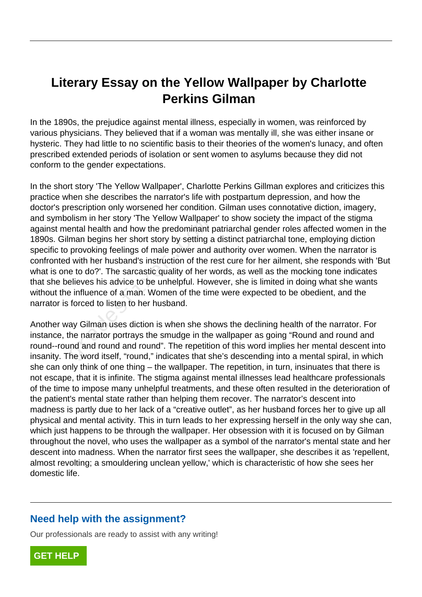## **Literary Essay on the Yellow Wallpaper by Charlotte Perkins Gilman**

In the 1890s, the prejudice against mental illness, especially in women, was reinforced by various physicians. They believed that if a woman was mentally ill, she was either insane or hysteric. They had little to no scientific basis to their theories of the women's lunacy, and often prescribed extended periods of isolation or sent women to asylums because they did not conform to the gender expectations.

In the short story 'The Yellow Wallpaper', Charlotte Perkins Gillman explores and criticizes this practice when she describes the narrator's life with postpartum depression, and how the doctor's prescription only worsened her condition. Gilman uses connotative diction, imagery, and symbolism in her story 'The Yellow Wallpaper' to show society the impact of the stigma against mental health and how the predominant patriarchal gender roles affected women in the 1890s. Gilman begins her short story by setting a distinct patriarchal tone, employing diction specific to provoking feelings of male power and authority over women. When the narrator is confronted with her husband's instruction of the rest cure for her ailment, she responds with 'But what is one to do?'. The sarcastic quality of her words, as well as the mocking tone indicates that she believes his advice to be unhelpful. However, she is limited in doing what she wants without the influence of a man. Women of the time were expected to be obedient, and the narrator is forced to listen to her husband. Solism in the story The Tellow Wallpape<br>
ental health and how the predominant p<br>
man begins her short story by setting a<br>
provoking feelings of male power and<br>
I with her husband's instruction of the r<br>
e to do?'. The sarc

Another way Gilman uses diction is when she shows the declining health of the narrator. For instance, the narrator portrays the smudge in the wallpaper as going "Round and round and round--round and round and round". The repetition of this word implies her mental descent into insanity. The word itself, "round," indicates that she's descending into a mental spiral, in which she can only think of one thing – the wallpaper. The repetition, in turn, insinuates that there is not escape, that it is infinite. The stigma against mental illnesses lead healthcare professionals of the time to impose many unhelpful treatments, and these often resulted in the deterioration of the patient's mental state rather than helping them recover. The narrator's descent into madness is partly due to her lack of a "creative outlet", as her husband forces her to give up all physical and mental activity. This in turn leads to her expressing herself in the only way she can, which just happens to be through the wallpaper. Her obsession with it is focused on by Gilman throughout the novel, who uses the wallpaper as a symbol of the narrator's mental state and her descent into madness. When the narrator first sees the wallpaper, she describes it as 'repellent, almost revolting; a smouldering unclean yellow,' which is characteristic of how she sees her domestic life.

## **Need help with the assignment?**

Our professionals are ready to assist with any writing!

**[GET HELP](https://my.gradesfixer.com/order?utm_campaign=pdf_sample)**